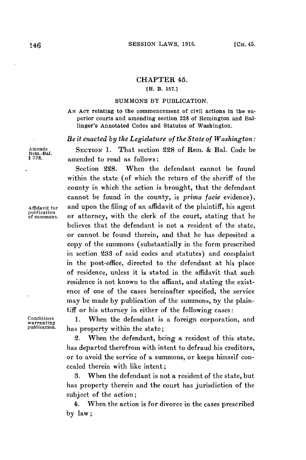## **CHAPTER 45.**

## **[H. B. 157.]**

## **SUMMONS** BY PUBLICATION.

AN **ACT** relating to the commencement of civil actions in the superior courts and amending section **228** of Remington and Ballinger's Annotated Codes and Statutes of Washington,

## *Be it enacted by the Legislature of the State of Washington:*

Amends SECTION 1. That section 228 of Rem. & Bal. Code be<br>Rem.-Bal. **6. 228. amended** to read as follows: **§ 228.** amended to read as follows:

Section **228.** When the defendant cannot be found within the state (of which the return of the sheriff of the county in which the action is brought, that the defendant cannot be found in the county, is *prima facie* evidence), Affidavit for and upon the filing of an affidavit of the plaintiff, his agent publication of summons or attorney, with the clerk of the court, stating that he or attorney, with the clerk of the court, stating that he believes that the defendant is not a resident of the state, or cannot be found therein, and that he has deposited a copy of the summons (substantially in the form prescribed in section **233** of said codes and statutes) and complaint in the post-office, directed to the defendant at his place of residence, unless it is stated in the affidavit that such residence is not known to the affiant, and stating the existence of one of the cases hereinafter specified, the service may be made by publication of the summons, by the plaintiff or his attorney in either of the following cases:

Conditions **1.** When the defendant is a foreign corporation, and warranting become publication. has property within the state;

> 2. When the defendant, being a resident of this state, has departed therefrom with intent to defraud his creditors, or to avoid the service of a summons, or keeps himself concealed therein with like intent;

> **3.** When the defendant is not a resident of the state, but has property therein and the court has jurisdiction of the subject of the action;

> 4. When the action is for divorce in the cases prescribed **by** law;